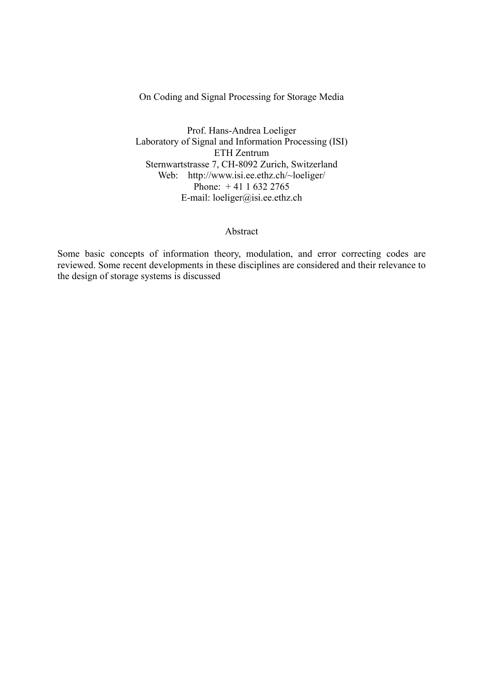On Coding and Signal Processing for Storage Media

Prof. Hans-Andrea Loeliger Laboratory of Signal and Information Processing (ISI) ETH Zentrum Sternwartstrasse 7, CH-8092 Zurich, Switzerland Web: http://www.isi.ee.ethz.ch/~loeliger/ Phone: + 41 1 632 2765 E-mail: loeliger@isi.ee.ethz.ch

#### Abstract

Some basic concepts of information theory, modulation, and error correcting codes are reviewed. Some recent developments in these disciplines are considered and their relevance to the design of storage systems is discussed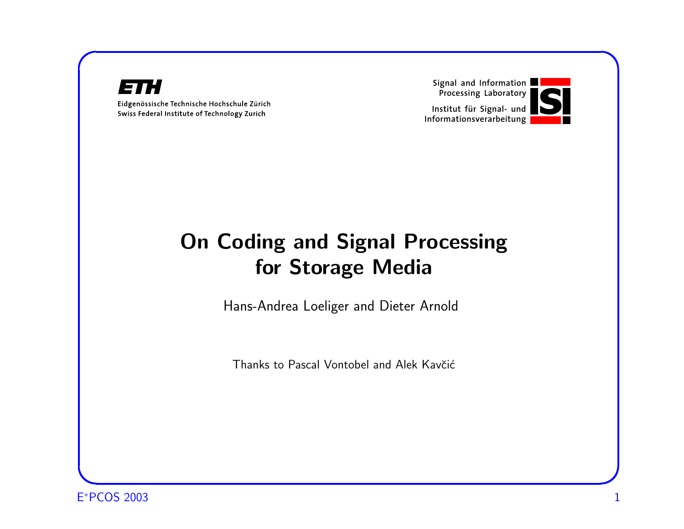#### 82 H  $\Box$

Eidgenössische Technische Hochschule Zürich Swiss Federal Institute of Technology Zurich

Signal and Information Processing Laboratory



## **On Coding and Signal Processing** for Storage Media

Hans-Andrea Loeliger and Dieter Arnold

Thanks to Pascal Vontobel and Alek Kavčić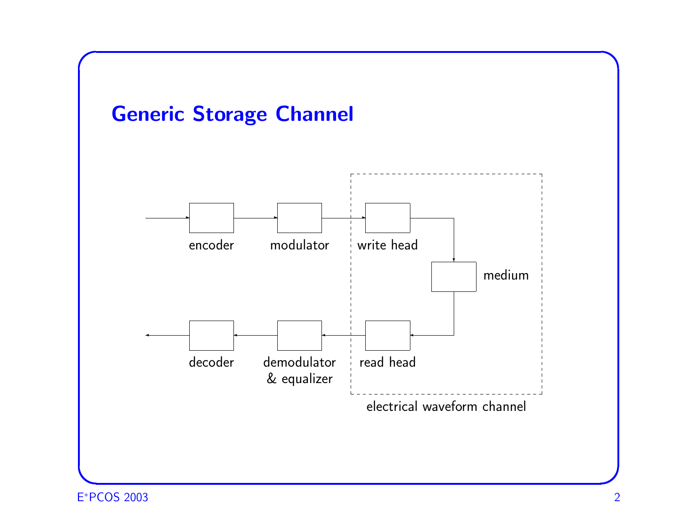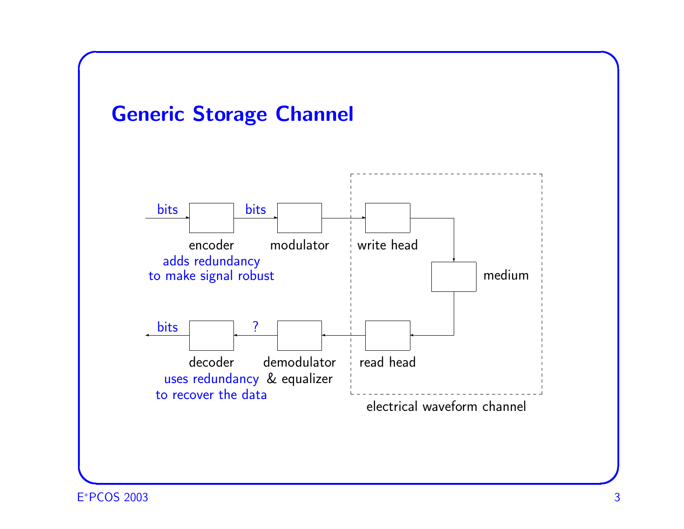

E <sup>∗</sup>PCOS 2003 3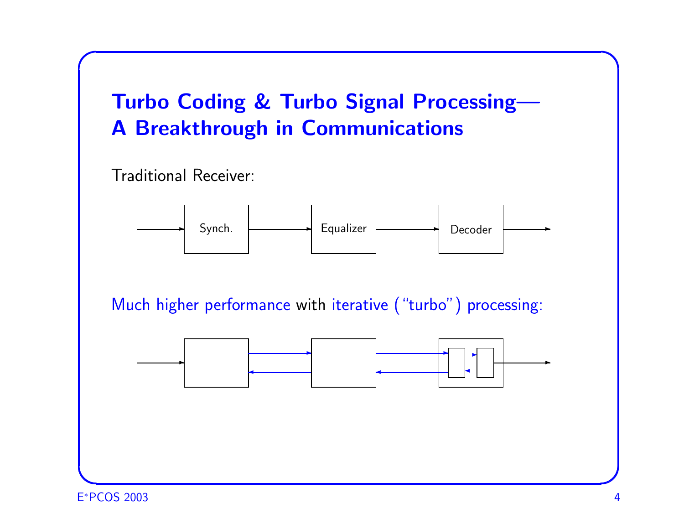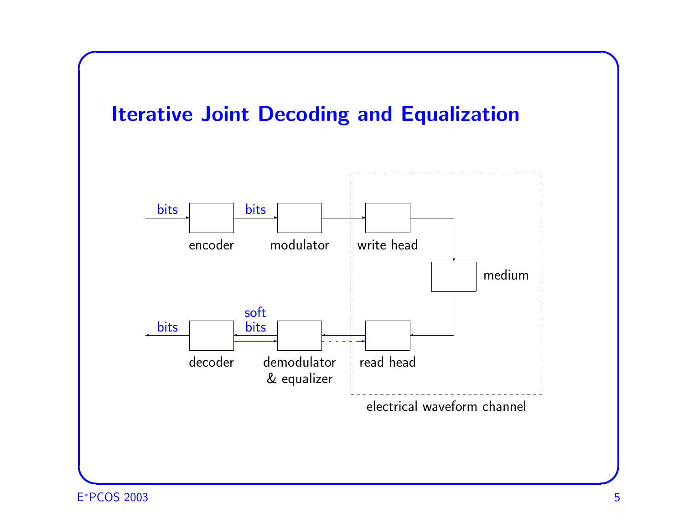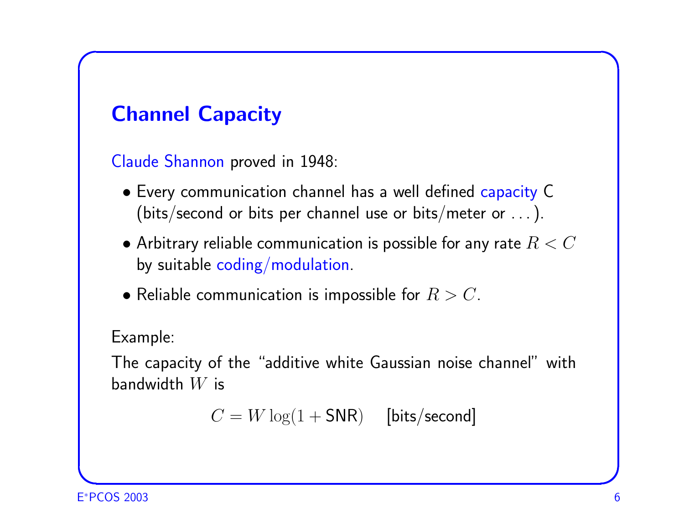## Channel Capacity

Claude Shannon proved in 1948:

- Every communication channel has a well defined capacity C (bits/second or bits per channel use or bits/meter or . . . ).
- $\bullet$  Arbitrary reliable communication is possible for any rate  $R < C$ by suitable coding/modulation.
- Reliable communication is impossible for  $R > C$ .

Example:

 $\sqrt{2\pi}$ 

The capacity of the "additive white Gaussian noise channel" with bandwidth W is

 $C = W \log(1 + SNR)$  [bits/second]

✫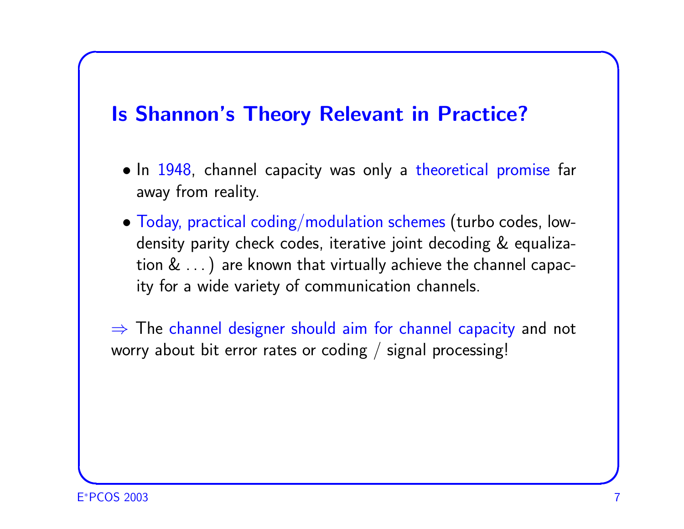#### **Is Shannon's Theory Relevant in Practice?**

- In 1948, channel capacity was only a theoretical promise far away from reality.
- $\bullet$  Today, practical coding/modulation schemes (turbo codes, lowdensity parity check codes, iterative joint decoding & equalization & ...) are known that virtually achieve the channel capacity for a wide variety of communication channels.

 $\Rightarrow$  The channel designer should aim for channel capacity and not worry about bit error rates or coding  $/$  signal processing!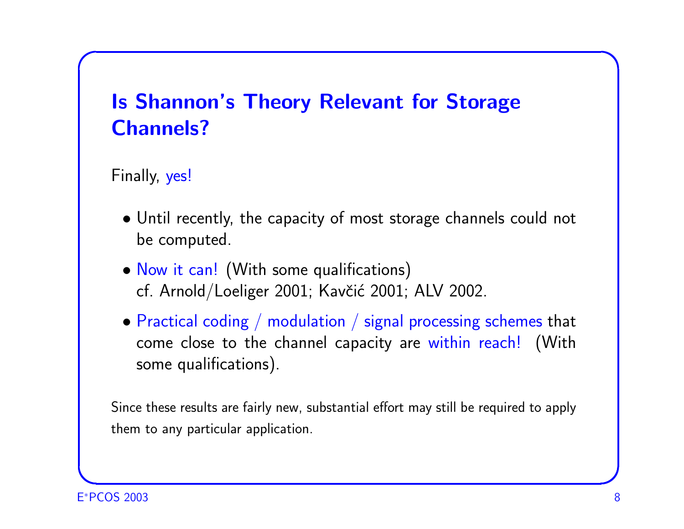# Is Shannon's Theory Relevant for Storage Channels?

Finally, yes!

 $\sqrt{2\pi}$ 

- Until recently, the capacity of most storage channels could not be computed.
- Now it can! (With some qualifications) cf. Arnold/Loeliger 2001; Kavčić 2001; ALV 2002.
- Practical coding / modulation / signal processing schemes that come close to the channel capacity are within reach! (With some qualifications).

Since these results are fairly new, substantial effort may still be required to apply them to any particular application.

✫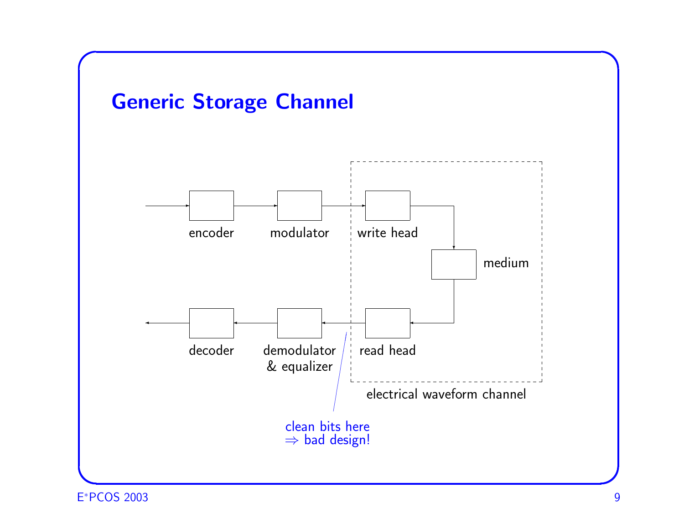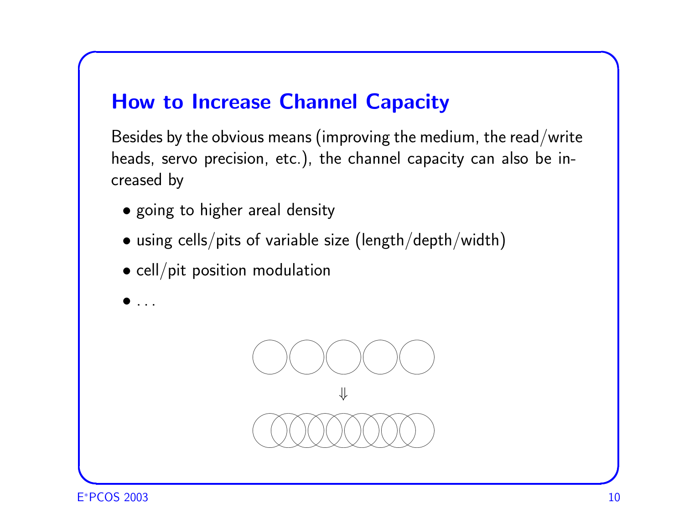#### How to Increase Channel Capacity

Besides by the obvious means (improving the medium, the read/write heads, servo precision, etc.), the channel capacity can also be increased by

- going to higher areal density
- using cells/pits of variable size (length/depth/width)
- cell/pit position modulation



 $\bullet$  . . . .

 $\overline{\phantom{a}}$ 

 $\sqrt{2\pi}$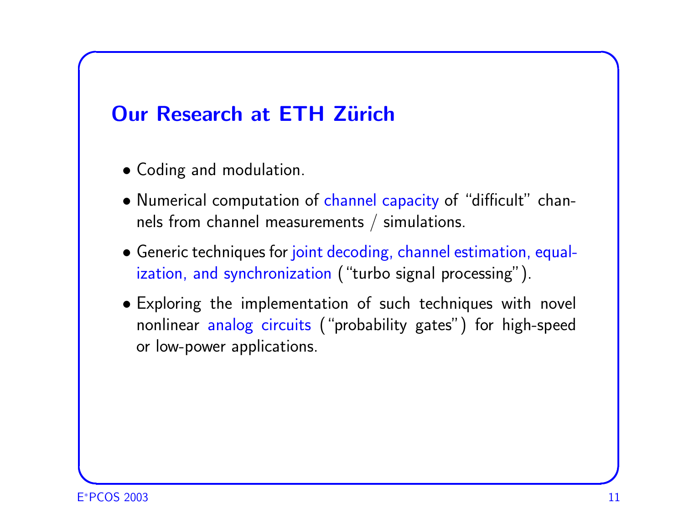### **Our Research at ETH Zürich**

- Coding and modulation.
- Numerical computation of channel capacity of "difficult" channels from channel measurements / simulations.
- Generic techniques for joint decoding, channel estimation, equalization, and synchronization ("turbo signal processing").
- Exploring the implementation of such techniques with novel nonlinear analog circuits ("probability gates") for high-speed or low-power applications.

 $\overline{\phantom{a}}$ 

 $\sqrt{2\pi}$